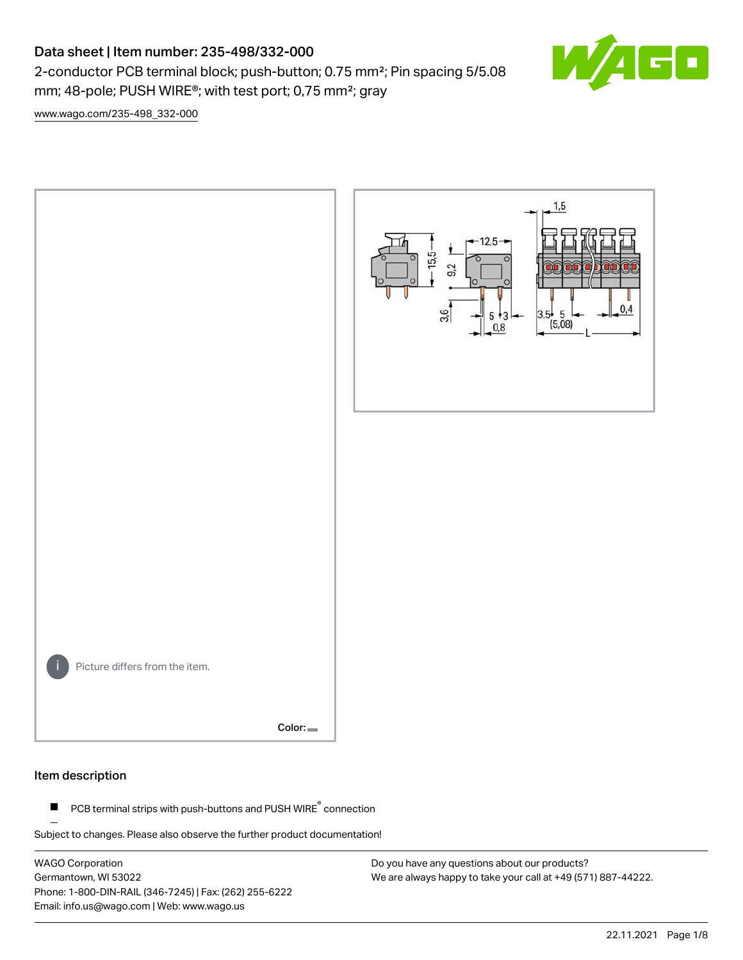# Data sheet | Item number: 235-498/332-000

2-conductor PCB terminal block; push-button; 0.75 mm²; Pin spacing 5/5.08 mm; 48-pole; PUSH WIRE®; with test port; 0,75 mm²; gray

 $\blacksquare$ 

[www.wago.com/235-498\\_332-000](http://www.wago.com/235-498_332-000)



#### Item description

PCB terminal strips with push-buttons and PUSH WIRE<sup>®</sup> connection  $\blacksquare$ 

Subject to changes. Please also observe the further product documentation!

WAGO Corporation Germantown, WI 53022 Phone: 1-800-DIN-RAIL (346-7245) | Fax: (262) 255-6222 Email: info.us@wago.com | Web: www.wago.us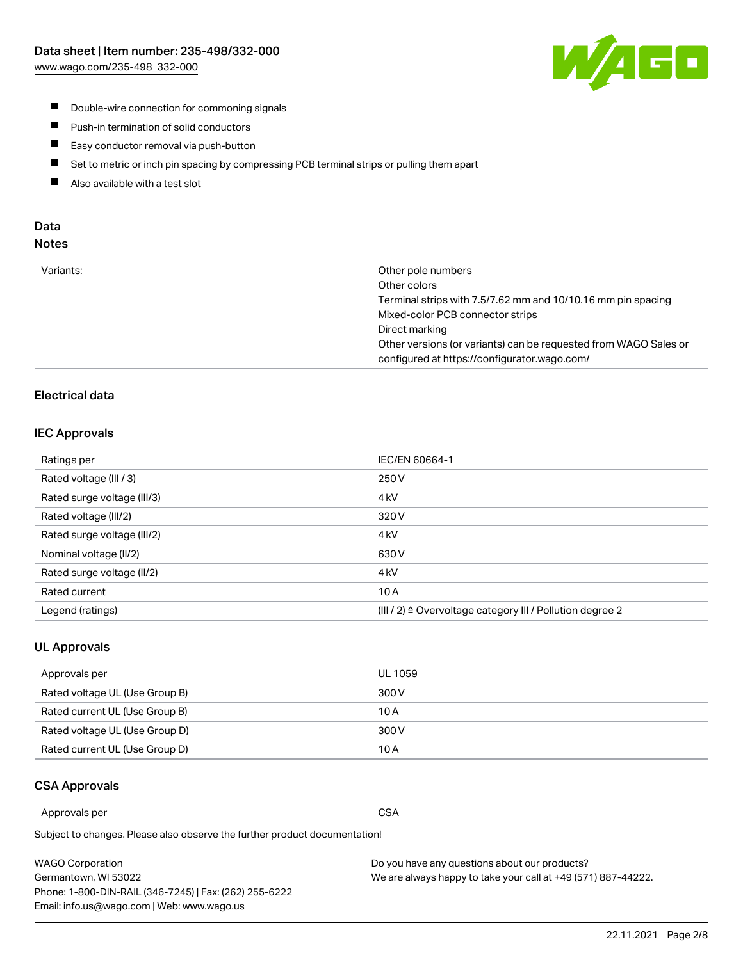

- **Double-wire connection for commoning signals**
- $\blacksquare$ Push-in termination of solid conductors
- Easy conductor removal via push-button  $\blacksquare$
- $\blacksquare$ Set to metric or inch pin spacing by compressing PCB terminal strips or pulling them apart
- $\blacksquare$ Also available with a test slot

### Data Notes

| Variants: | Other pole numbers                                               |
|-----------|------------------------------------------------------------------|
|           | Other colors                                                     |
|           | Terminal strips with 7.5/7.62 mm and 10/10.16 mm pin spacing     |
|           | Mixed-color PCB connector strips                                 |
|           | Direct marking                                                   |
|           | Other versions (or variants) can be requested from WAGO Sales or |
|           | configured at https://configurator.wago.com/                     |
|           |                                                                  |

# Electrical data

### IEC Approvals

| Ratings per                 | IEC/EN 60664-1                                                        |
|-----------------------------|-----------------------------------------------------------------------|
| Rated voltage (III / 3)     | 250 V                                                                 |
| Rated surge voltage (III/3) | 4 <sub>k</sub> V                                                      |
| Rated voltage (III/2)       | 320 V                                                                 |
| Rated surge voltage (III/2) | 4 <sub>kV</sub>                                                       |
| Nominal voltage (II/2)      | 630 V                                                                 |
| Rated surge voltage (II/2)  | 4 <sub>k</sub> V                                                      |
| Rated current               | 10A                                                                   |
| Legend (ratings)            | $(III / 2)$ $\triangle$ Overvoltage category III / Pollution degree 2 |

#### UL Approvals

| Approvals per                  | UL 1059 |
|--------------------------------|---------|
| Rated voltage UL (Use Group B) | 300 V   |
| Rated current UL (Use Group B) | 10 A    |
| Rated voltage UL (Use Group D) | 300 V   |
| Rated current UL (Use Group D) | 10 A    |

### CSA Approvals

Approvals per CSA

Subject to changes. Please also observe the further product documentation!

| WAGO Corporation                                       | Do you have any questions about our products?                 |
|--------------------------------------------------------|---------------------------------------------------------------|
| Germantown, WI 53022                                   | We are always happy to take your call at +49 (571) 887-44222. |
| Phone: 1-800-DIN-RAIL (346-7245)   Fax: (262) 255-6222 |                                                               |
| Email: info.us@wago.com   Web: www.wago.us             |                                                               |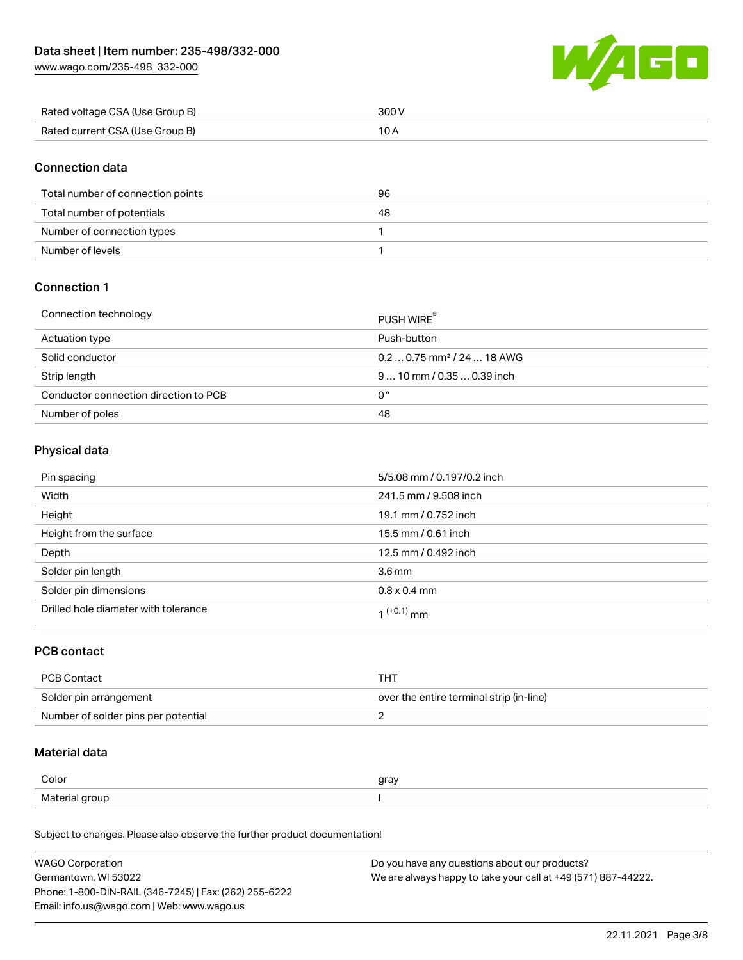[www.wago.com/235-498\\_332-000](http://www.wago.com/235-498_332-000)



| Rated voltage CSA (Use Group B) |  |
|---------------------------------|--|
| Rated current CSA (Use Group B) |  |

## Connection data

| Total number of connection points | 96 |
|-----------------------------------|----|
| Total number of potentials        | 48 |
| Number of connection types        |    |
| Number of levels                  |    |

# Connection 1

| Connection technology                 | PUSH WIRE <sup>®</sup>                 |
|---------------------------------------|----------------------------------------|
| Actuation type                        | Push-button                            |
| Solid conductor                       | $0.20.75$ mm <sup>2</sup> / 24  18 AWG |
| Strip length                          | $910$ mm $/0.350.39$ inch              |
| Conductor connection direction to PCB | 0°                                     |
| Number of poles                       | 48                                     |

# Physical data

| Pin spacing                          | 5/5.08 mm / 0.197/0.2 inch |
|--------------------------------------|----------------------------|
| Width                                | 241.5 mm / 9.508 inch      |
| Height                               | 19.1 mm / 0.752 inch       |
| Height from the surface              | 15.5 mm / 0.61 inch        |
| Depth                                | 12.5 mm / 0.492 inch       |
| Solder pin length                    | 3.6 <sub>mm</sub>          |
| Solder pin dimensions                | $0.8 \times 0.4$ mm        |
| Drilled hole diameter with tolerance | $1^{(+0.1)}$ mm            |

### PCB contact

| PCB Contact                         | тнт                                      |
|-------------------------------------|------------------------------------------|
| Solder pin arrangement              | over the entire terminal strip (in-line) |
| Number of solder pins per potential |                                          |

# Material data

| Color                        | gray |
|------------------------------|------|
| Materia<br>arour<br>$\cdots$ |      |

Subject to changes. Please also observe the further product documentation!

| <b>WAGO Corporation</b>                                | Do you have any questions about our products?                 |
|--------------------------------------------------------|---------------------------------------------------------------|
| Germantown, WI 53022                                   | We are always happy to take your call at +49 (571) 887-44222. |
| Phone: 1-800-DIN-RAIL (346-7245)   Fax: (262) 255-6222 |                                                               |
| Email: info.us@wago.com   Web: www.wago.us             |                                                               |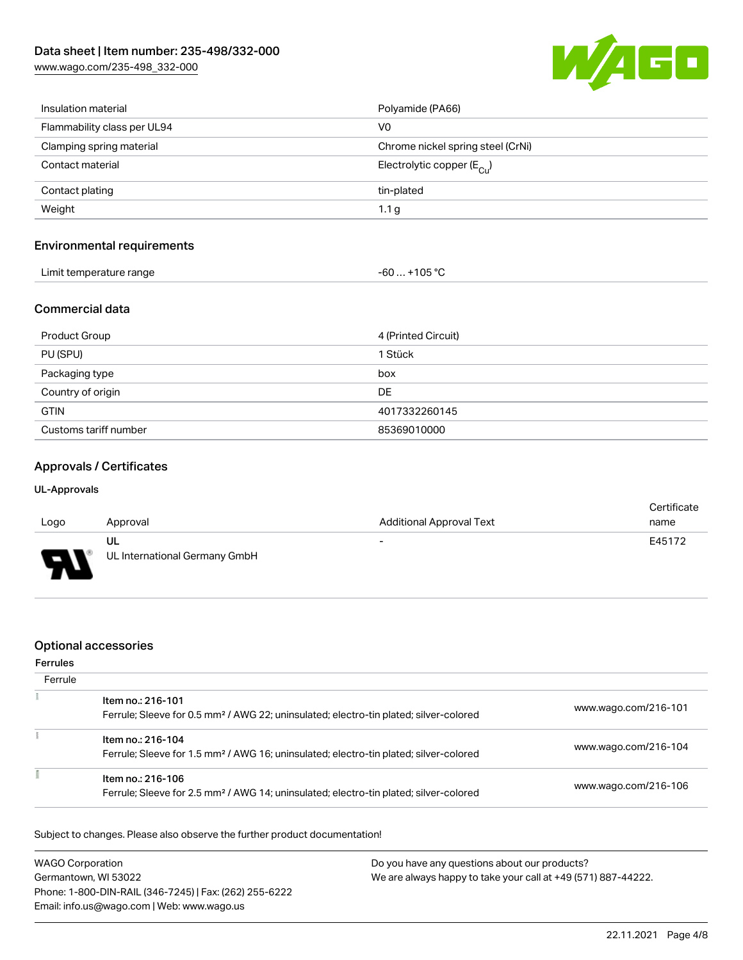[www.wago.com/235-498\\_332-000](http://www.wago.com/235-498_332-000)



| Insulation material         | Polyamide (PA66)                      |
|-----------------------------|---------------------------------------|
| Flammability class per UL94 | V <sub>0</sub>                        |
| Clamping spring material    | Chrome nickel spring steel (CrNi)     |
| Contact material            | Electrolytic copper $(E_{\text{Cl}})$ |
| Contact plating             | tin-plated                            |
| Weight                      | 1.1 <sub>g</sub>                      |
|                             |                                       |

### Environmental requirements

| Limit temperature range<br>. | 105 °C<br>-61<br>$\sim$ $\sim$ $\sim$ $\sim$ $\sim$ $\sim$ |
|------------------------------|------------------------------------------------------------|
|------------------------------|------------------------------------------------------------|

# Commercial data

| Product Group         | 4 (Printed Circuit) |
|-----------------------|---------------------|
| PU (SPU)              | 1 Stück             |
| Packaging type        | box                 |
| Country of origin     | DE                  |
| <b>GTIN</b>           | 4017332260145       |
| Customs tariff number | 85369010000         |

# Approvals / Certificates

#### UL-Approvals

| Logo | Approval                      | <b>Additional Approval Text</b> | Certificate<br>name |
|------|-------------------------------|---------------------------------|---------------------|
|      |                               |                                 |                     |
|      | ul                            | $\overline{\phantom{0}}$        | E45172              |
| o    | UL International Germany GmbH |                                 |                     |

# Optional accessories

#### Ferrules

| Ferrule |                                                                                                                        |                      |
|---------|------------------------------------------------------------------------------------------------------------------------|----------------------|
|         | Item no.: 216-101<br>Ferrule; Sleeve for 0.5 mm <sup>2</sup> / AWG 22; uninsulated; electro-tin plated; silver-colored | www.wago.com/216-101 |
|         | Item no.: 216-104<br>Ferrule; Sleeve for 1.5 mm <sup>2</sup> / AWG 16; uninsulated; electro-tin plated; silver-colored | www.wago.com/216-104 |
|         | Item no.: 216-106<br>Ferrule; Sleeve for 2.5 mm <sup>2</sup> / AWG 14; uninsulated; electro-tin plated; silver-colored | www.wago.com/216-106 |

Subject to changes. Please also observe the further product documentation!

| <b>WAGO Corporation</b>                                | Do you have any questions about our products?                 |
|--------------------------------------------------------|---------------------------------------------------------------|
| Germantown, WI 53022                                   | We are always happy to take your call at +49 (571) 887-44222. |
| Phone: 1-800-DIN-RAIL (346-7245)   Fax: (262) 255-6222 |                                                               |
| Email: info.us@wago.com   Web: www.wago.us             |                                                               |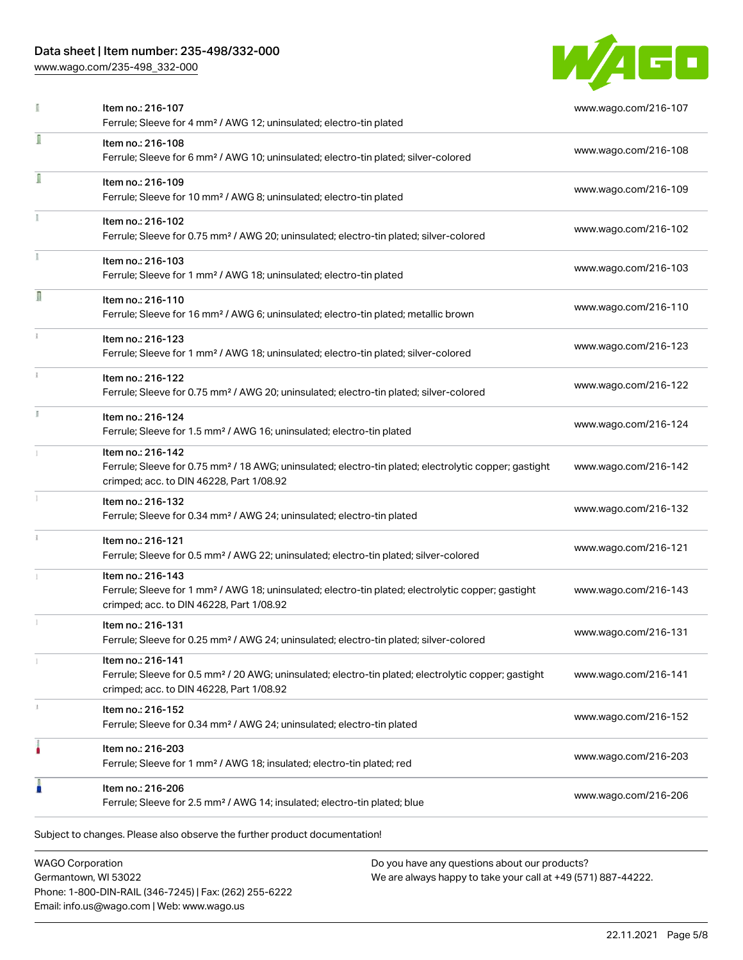# Data sheet | Item number: 235-498/332-000

[www.wago.com/235-498\\_332-000](http://www.wago.com/235-498_332-000)



|    | Item no.: 216-107<br>Ferrule; Sleeve for 4 mm <sup>2</sup> / AWG 12; uninsulated; electro-tin plated                                                                               | www.wago.com/216-107 |
|----|------------------------------------------------------------------------------------------------------------------------------------------------------------------------------------|----------------------|
| I  | Item no.: 216-108<br>Ferrule; Sleeve for 6 mm <sup>2</sup> / AWG 10; uninsulated; electro-tin plated; silver-colored                                                               | www.wago.com/216-108 |
| I  | Item no.: 216-109<br>Ferrule; Sleeve for 10 mm <sup>2</sup> / AWG 8; uninsulated; electro-tin plated                                                                               | www.wago.com/216-109 |
|    | Item no.: 216-102<br>Ferrule; Sleeve for 0.75 mm <sup>2</sup> / AWG 20; uninsulated; electro-tin plated; silver-colored                                                            | www.wago.com/216-102 |
|    | Item no.: 216-103<br>Ferrule; Sleeve for 1 mm <sup>2</sup> / AWG 18; uninsulated; electro-tin plated                                                                               | www.wago.com/216-103 |
| R  | Item no.: 216-110<br>Ferrule; Sleeve for 16 mm <sup>2</sup> / AWG 6; uninsulated; electro-tin plated; metallic brown                                                               | www.wago.com/216-110 |
| ī. | Item no.: 216-123<br>Ferrule; Sleeve for 1 mm <sup>2</sup> / AWG 18; uninsulated; electro-tin plated; silver-colored                                                               | www.wago.com/216-123 |
|    | Item no.: 216-122<br>Ferrule; Sleeve for 0.75 mm <sup>2</sup> / AWG 20; uninsulated; electro-tin plated; silver-colored                                                            | www.wago.com/216-122 |
|    | Item no.: 216-124<br>Ferrule; Sleeve for 1.5 mm <sup>2</sup> / AWG 16; uninsulated; electro-tin plated                                                                             | www.wago.com/216-124 |
|    | Item no.: 216-142<br>Ferrule; Sleeve for 0.75 mm <sup>2</sup> / 18 AWG; uninsulated; electro-tin plated; electrolytic copper; gastight<br>crimped; acc. to DIN 46228, Part 1/08.92 | www.wago.com/216-142 |
|    | Item no.: 216-132<br>Ferrule; Sleeve for 0.34 mm <sup>2</sup> / AWG 24; uninsulated; electro-tin plated                                                                            | www.wago.com/216-132 |
|    | Item no.: 216-121<br>Ferrule; Sleeve for 0.5 mm <sup>2</sup> / AWG 22; uninsulated; electro-tin plated; silver-colored                                                             | www.wago.com/216-121 |
|    | Item no.: 216-143<br>Ferrule; Sleeve for 1 mm <sup>2</sup> / AWG 18; uninsulated; electro-tin plated; electrolytic copper; gastight<br>crimped; acc. to DIN 46228, Part 1/08.92    | www.wago.com/216-143 |
|    | Item no.: 216-131<br>Ferrule; Sleeve for 0.25 mm <sup>2</sup> / AWG 24; uninsulated; electro-tin plated; silver-colored                                                            | www.wago.com/216-131 |
|    | Item no.: 216-141<br>Ferrule; Sleeve for 0.5 mm <sup>2</sup> / 20 AWG; uninsulated; electro-tin plated; electrolytic copper; gastight<br>crimped; acc. to DIN 46228, Part 1/08.92  | www.wago.com/216-141 |
| 3  | Item no.: 216-152<br>Ferrule; Sleeve for 0.34 mm <sup>2</sup> / AWG 24; uninsulated; electro-tin plated                                                                            | www.wago.com/216-152 |
|    | Item no.: 216-203<br>Ferrule; Sleeve for 1 mm <sup>2</sup> / AWG 18; insulated; electro-tin plated; red                                                                            | www.wago.com/216-203 |
| I  | Item no.: 216-206<br>Ferrule; Sleeve for 2.5 mm <sup>2</sup> / AWG 14; insulated; electro-tin plated; blue                                                                         | www.wago.com/216-206 |

WAGO Corporation Germantown, WI 53022 Phone: 1-800-DIN-RAIL (346-7245) | Fax: (262) 255-6222 Email: info.us@wago.com | Web: www.wago.us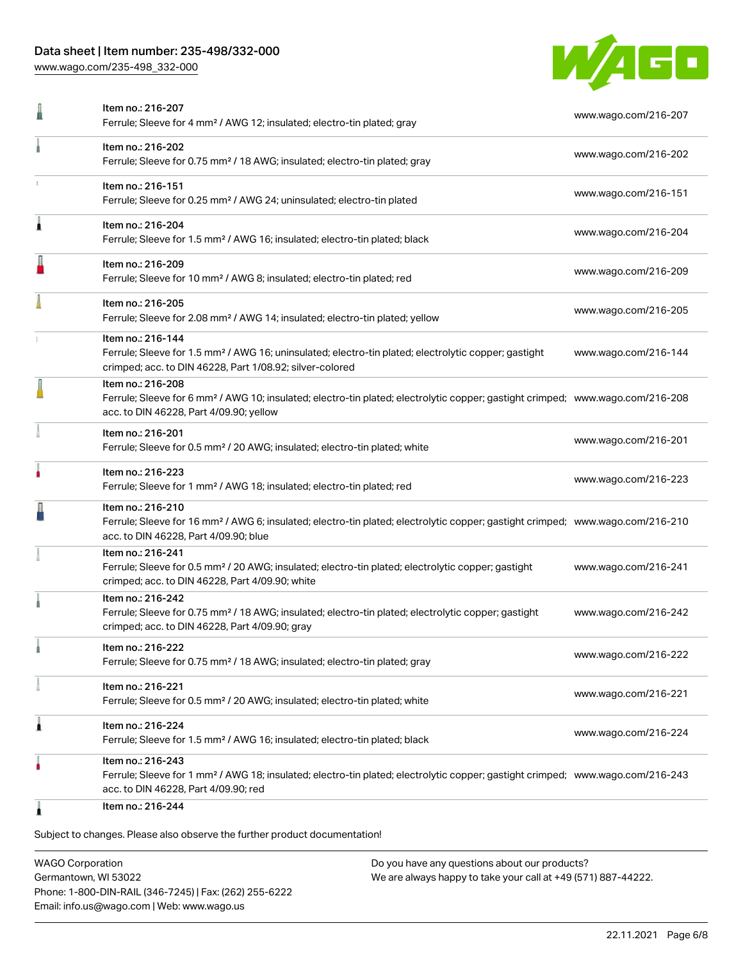# Data sheet | Item number: 235-498/332-000

[www.wago.com/235-498\\_332-000](http://www.wago.com/235-498_332-000)



|   | Item no.: 216-207<br>Ferrule; Sleeve for 4 mm <sup>2</sup> / AWG 12; insulated; electro-tin plated; gray                                                                                                   | www.wago.com/216-207 |
|---|------------------------------------------------------------------------------------------------------------------------------------------------------------------------------------------------------------|----------------------|
|   | Item no.: 216-202<br>Ferrule; Sleeve for 0.75 mm <sup>2</sup> / 18 AWG; insulated; electro-tin plated; gray                                                                                                | www.wago.com/216-202 |
|   | Item no.: 216-151<br>Ferrule; Sleeve for 0.25 mm <sup>2</sup> / AWG 24; uninsulated; electro-tin plated                                                                                                    | www.wago.com/216-151 |
| Â | Item no.: 216-204<br>Ferrule; Sleeve for 1.5 mm <sup>2</sup> / AWG 16; insulated; electro-tin plated; black                                                                                                | www.wago.com/216-204 |
| J | Item no.: 216-209<br>Ferrule; Sleeve for 10 mm <sup>2</sup> / AWG 8; insulated; electro-tin plated; red                                                                                                    | www.wago.com/216-209 |
|   | Item no.: 216-205<br>Ferrule; Sleeve for 2.08 mm <sup>2</sup> / AWG 14; insulated; electro-tin plated; yellow                                                                                              | www.wago.com/216-205 |
|   | Item no.: 216-144<br>Ferrule; Sleeve for 1.5 mm <sup>2</sup> / AWG 16; uninsulated; electro-tin plated; electrolytic copper; gastight<br>crimped; acc. to DIN 46228, Part 1/08.92; silver-colored          | www.wago.com/216-144 |
|   | Item no.: 216-208<br>Ferrule; Sleeve for 6 mm <sup>2</sup> / AWG 10; insulated; electro-tin plated; electrolytic copper; gastight crimped; www.wago.com/216-208<br>acc. to DIN 46228, Part 4/09.90; yellow |                      |
|   | Item no.: 216-201<br>Ferrule; Sleeve for 0.5 mm <sup>2</sup> / 20 AWG; insulated; electro-tin plated; white                                                                                                | www.wago.com/216-201 |
|   | Item no.: 216-223<br>Ferrule; Sleeve for 1 mm <sup>2</sup> / AWG 18; insulated; electro-tin plated; red                                                                                                    | www.wago.com/216-223 |
|   | Item no.: 216-210<br>Ferrule; Sleeve for 16 mm <sup>2</sup> / AWG 6; insulated; electro-tin plated; electrolytic copper; gastight crimped; www.wago.com/216-210<br>acc. to DIN 46228, Part 4/09.90; blue   |                      |
|   | Item no.: 216-241<br>Ferrule; Sleeve for 0.5 mm <sup>2</sup> / 20 AWG; insulated; electro-tin plated; electrolytic copper; gastight<br>crimped; acc. to DIN 46228, Part 4/09.90; white                     | www.wago.com/216-241 |
|   | Item no.: 216-242<br>Ferrule; Sleeve for 0.75 mm <sup>2</sup> / 18 AWG; insulated; electro-tin plated; electrolytic copper; gastight<br>crimped; acc. to DIN 46228, Part 4/09.90; gray                     | www.wago.com/216-242 |
|   | Item no.: 216-222<br>Ferrule; Sleeve for 0.75 mm <sup>2</sup> / 18 AWG; insulated; electro-tin plated; gray                                                                                                | www.wago.com/216-222 |
|   | Item no.: 216-221<br>Ferrule; Sleeve for 0.5 mm <sup>2</sup> / 20 AWG; insulated; electro-tin plated; white                                                                                                | www.wago.com/216-221 |
| 1 | Item no.: 216-224<br>Ferrule; Sleeve for 1.5 mm <sup>2</sup> / AWG 16; insulated; electro-tin plated; black                                                                                                | www.wago.com/216-224 |
|   | Item no.: 216-243<br>Ferrule; Sleeve for 1 mm <sup>2</sup> / AWG 18; insulated; electro-tin plated; electrolytic copper; gastight crimped; www.wago.com/216-243<br>acc. to DIN 46228, Part 4/09.90; red    |                      |
|   | Item no.: 216-244                                                                                                                                                                                          |                      |

Subject to changes. Please also observe the further product documentation!

WAGO Corporation Germantown, WI 53022 Phone: 1-800-DIN-RAIL (346-7245) | Fax: (262) 255-6222 Email: info.us@wago.com | Web: www.wago.us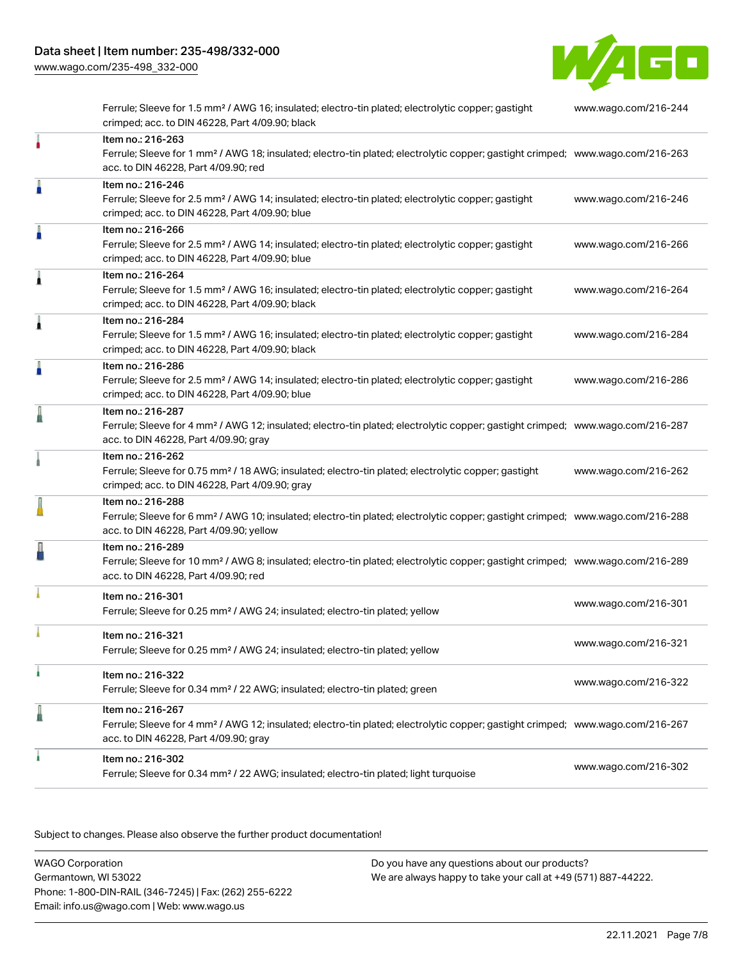[www.wago.com/235-498\\_332-000](http://www.wago.com/235-498_332-000)



Ferrule; Sleeve for 1.5 mm² / AWG 16; insulated; electro-tin plated; electrolytic copper; gastight crimped; acc. to DIN 46228, Part 4/09.90; black [www.wago.com/216-244](http://www.wago.com/216-244) Item no.: 216-263 Ferrule; Sleeve for 1 mm² / AWG 18; insulated; electro-tin plated; electrolytic copper; gastight crimped; [www.wago.com/216-263](http://www.wago.com/216-263) acc. to DIN 46228, Part 4/09.90; red Item no.: 216-246 Ferrule; Sleeve for 2.5 mm² / AWG 14; insulated; electro-tin plated; electrolytic copper; gastight crimped; acc. to DIN 46228, Part 4/09.90; blue [www.wago.com/216-246](http://www.wago.com/216-246) Item no.: 216-266 Ferrule; Sleeve for 2.5 mm² / AWG 14; insulated; electro-tin plated; electrolytic copper; gastight crimped; acc. to DIN 46228, Part 4/09.90; blue [www.wago.com/216-266](http://www.wago.com/216-266) Item no.: 216-264 Ferrule; Sleeve for 1.5 mm² / AWG 16; insulated; electro-tin plated; electrolytic copper; gastight crimped; acc. to DIN 46228, Part 4/09.90; black [www.wago.com/216-264](http://www.wago.com/216-264) Item no.: 216-284 Ferrule; Sleeve for 1.5 mm² / AWG 16; insulated; electro-tin plated; electrolytic copper; gastight crimped; acc. to DIN 46228, Part 4/09.90; black [www.wago.com/216-284](http://www.wago.com/216-284) Item no.: 216-286 Ferrule; Sleeve for 2.5 mm² / AWG 14; insulated; electro-tin plated; electrolytic copper; gastight crimped; acc. to DIN 46228, Part 4/09.90; blue [www.wago.com/216-286](http://www.wago.com/216-286) Item no.: 216-287 Ferrule; Sleeve for 4 mm² / AWG 12; insulated; electro-tin plated; electrolytic copper; gastight crimped; [www.wago.com/216-287](http://www.wago.com/216-287) acc. to DIN 46228, Part 4/09.90; gray Item no.: 216-262 Ferrule; Sleeve for 0.75 mm² / 18 AWG; insulated; electro-tin plated; electrolytic copper; gastight crimped; acc. to DIN 46228, Part 4/09.90; gray [www.wago.com/216-262](http://www.wago.com/216-262) Item no.: 216-288 Ferrule; Sleeve for 6 mm² / AWG 10; insulated; electro-tin plated; electrolytic copper; gastight crimped; [www.wago.com/216-288](http://www.wago.com/216-288) acc. to DIN 46228, Part 4/09.90; yellow Item no.: 216-289 Ferrule; Sleeve for 10 mm² / AWG 8; insulated; electro-tin plated; electrolytic copper; gastight crimped; [www.wago.com/216-289](http://www.wago.com/216-289) acc. to DIN 46228, Part 4/09.90; red Item no.: 216-301 Ferrule; Sleeve for 0.25 mm² / AWG 24; insulated; electro-tin plated; yellow [www.wago.com/216-301](http://www.wago.com/216-301) Item no.: 216-321 Ferrule; Sleeve for 0.25 mm² / AWG 24; insulated; electro-tin plated; yellow [www.wago.com/216-321](http://www.wago.com/216-321) Item no.: 216-322 Ferrule; Sleeve for 0.34 mm² / 22 AWG; insulated; electro-tin plated; green [www.wago.com/216-322](http://www.wago.com/216-322) Item no.: 216-267 Ferrule; Sleeve for 4 mm² / AWG 12; insulated; electro-tin plated; electrolytic copper; gastight crimped; [www.wago.com/216-267](http://www.wago.com/216-267) acc. to DIN 46228, Part 4/09.90; gray Item no.: 216-302 Ferrule; Sleeve for 0.34 mm² / 22 AWG; insulated; electro-tin plated; light turquoise [www.wago.com/216-302](http://www.wago.com/216-302)

.<br>Subject to changes. Please also observe the further product documentation!

WAGO Corporation Germantown, WI 53022 Phone: 1-800-DIN-RAIL (346-7245) | Fax: (262) 255-6222 Email: info.us@wago.com | Web: www.wago.us